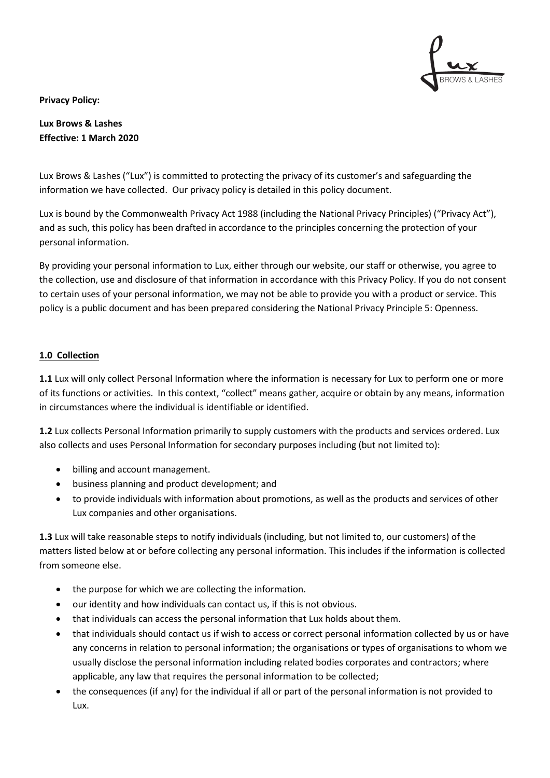

**Privacy Policy:** 

**Lux Brows & Lashes Effective: 1 March 2020**

Lux Brows & Lashes ("Lux") is committed to protecting the privacy of its customer's and safeguarding the information we have collected. Our privacy policy is detailed in this policy document.

Lux is bound by the Commonwealth Privacy Act 1988 (including the National Privacy Principles) ("Privacy Act"), and as such, this policy has been drafted in accordance to the principles concerning the protection of your personal information.

By providing your personal information to Lux, either through our website, our staff or otherwise, you agree to the collection, use and disclosure of that information in accordance with this Privacy Policy. If you do not consent to certain uses of your personal information, we may not be able to provide you with a product or service. This policy is a public document and has been prepared considering the National Privacy Principle 5: Openness.

# **1.0 Collection**

**1.1** Lux will only collect Personal Information where the information is necessary for Lux to perform one or more of its functions or activities. In this context, "collect" means gather, acquire or obtain by any means, information in circumstances where the individual is identifiable or identified.

**1.2** Lux collects Personal Information primarily to supply customers with the products and services ordered. Lux also collects and uses Personal Information for secondary purposes including (but not limited to):

- billing and account management.
- business planning and product development; and
- to provide individuals with information about promotions, as well as the products and services of other Lux companies and other organisations.

**1.3** Lux will take reasonable steps to notify individuals (including, but not limited to, our customers) of the matters listed below at or before collecting any personal information. This includes if the information is collected from someone else.

- the purpose for which we are collecting the information.
- our identity and how individuals can contact us, if this is not obvious.
- that individuals can access the personal information that Lux holds about them.
- that individuals should contact us if wish to access or correct personal information collected by us or have any concerns in relation to personal information; the organisations or types of organisations to whom we usually disclose the personal information including related bodies corporates and contractors; where applicable, any law that requires the personal information to be collected;
- the consequences (if any) for the individual if all or part of the personal information is not provided to Lux.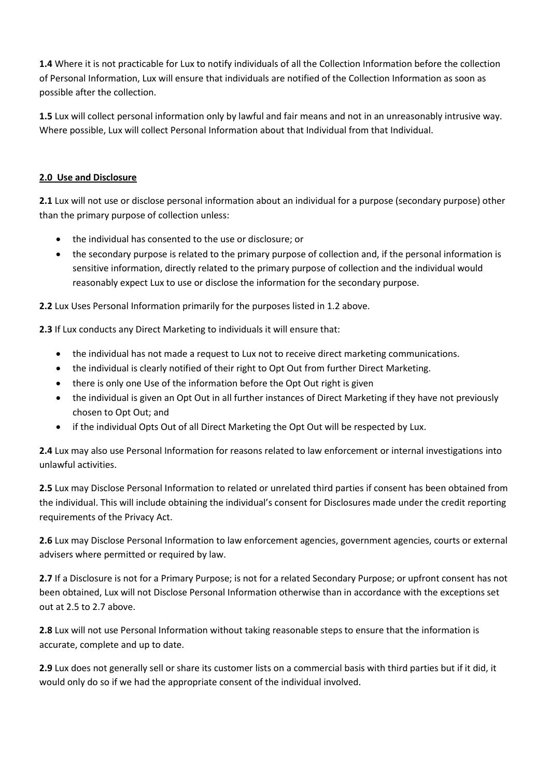**1.4** Where it is not practicable for Lux to notify individuals of all the Collection Information before the collection of Personal Information, Lux will ensure that individuals are notified of the Collection Information as soon as possible after the collection.

**1.5** Lux will collect personal information only by lawful and fair means and not in an unreasonably intrusive way. Where possible, Lux will collect Personal Information about that Individual from that Individual.

# **2.0 Use and Disclosure**

**2.1** Lux will not use or disclose personal information about an individual for a purpose (secondary purpose) other than the primary purpose of collection unless:

- the individual has consented to the use or disclosure; or
- the secondary purpose is related to the primary purpose of collection and, if the personal information is sensitive information, directly related to the primary purpose of collection and the individual would reasonably expect Lux to use or disclose the information for the secondary purpose.

**2.2** Lux Uses Personal Information primarily for the purposes listed in 1.2 above.

**2.3** If Lux conducts any Direct Marketing to individuals it will ensure that:

- the individual has not made a request to Lux not to receive direct marketing communications.
- the individual is clearly notified of their right to Opt Out from further Direct Marketing.
- there is only one Use of the information before the Opt Out right is given
- the individual is given an Opt Out in all further instances of Direct Marketing if they have not previously chosen to Opt Out; and
- if the individual Opts Out of all Direct Marketing the Opt Out will be respected by Lux.

**2.4** Lux may also use Personal Information for reasons related to law enforcement or internal investigations into unlawful activities.

**2.5** Lux may Disclose Personal Information to related or unrelated third parties if consent has been obtained from the individual. This will include obtaining the individual's consent for Disclosures made under the credit reporting requirements of the Privacy Act.

**2.6** Lux may Disclose Personal Information to law enforcement agencies, government agencies, courts or external advisers where permitted or required by law.

**2.7** If a Disclosure is not for a Primary Purpose; is not for a related Secondary Purpose; or upfront consent has not been obtained, Lux will not Disclose Personal Information otherwise than in accordance with the exceptions set out at 2.5 to 2.7 above.

**2.8** Lux will not use Personal Information without taking reasonable steps to ensure that the information is accurate, complete and up to date.

**2.9** Lux does not generally sell or share its customer lists on a commercial basis with third parties but if it did, it would only do so if we had the appropriate consent of the individual involved.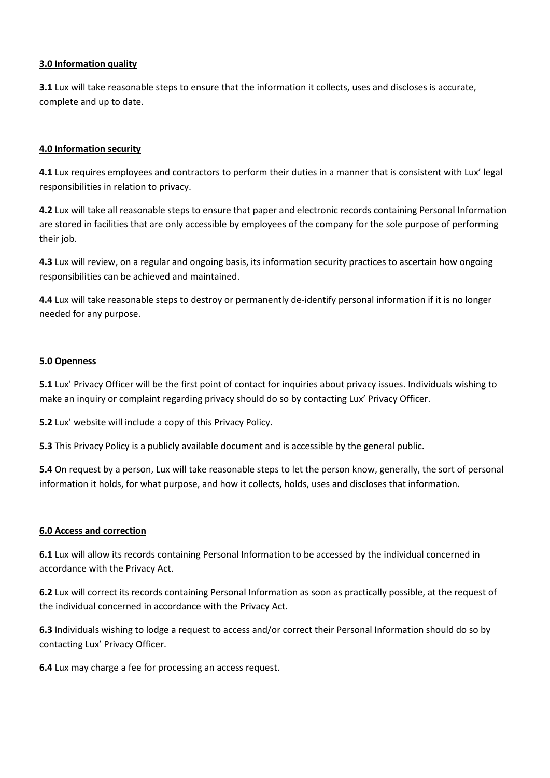## **3.0 Information quality**

**3.1** Lux will take reasonable steps to ensure that the information it collects, uses and discloses is accurate, complete and up to date.

## **4.0 Information security**

**4.1** Lux requires employees and contractors to perform their duties in a manner that is consistent with Lux' legal responsibilities in relation to privacy.

**4.2** Lux will take all reasonable steps to ensure that paper and electronic records containing Personal Information are stored in facilities that are only accessible by employees of the company for the sole purpose of performing their job.

**4.3** Lux will review, on a regular and ongoing basis, its information security practices to ascertain how ongoing responsibilities can be achieved and maintained.

**4.4** Lux will take reasonable steps to destroy or permanently de-identify personal information if it is no longer needed for any purpose.

#### **5.0 Openness**

**5.1** Lux' Privacy Officer will be the first point of contact for inquiries about privacy issues. Individuals wishing to make an inquiry or complaint regarding privacy should do so by contacting Lux' Privacy Officer.

**5.2** Lux' website will include a copy of this Privacy Policy.

**5.3** This Privacy Policy is a publicly available document and is accessible by the general public.

**5.4** On request by a person, Lux will take reasonable steps to let the person know, generally, the sort of personal information it holds, for what purpose, and how it collects, holds, uses and discloses that information.

#### **6.0 Access and correction**

**6.1** Lux will allow its records containing Personal Information to be accessed by the individual concerned in accordance with the Privacy Act.

**6.2** Lux will correct its records containing Personal Information as soon as practically possible, at the request of the individual concerned in accordance with the Privacy Act.

**6.3** Individuals wishing to lodge a request to access and/or correct their Personal Information should do so by contacting Lux' Privacy Officer.

**6.4** Lux may charge a fee for processing an access request.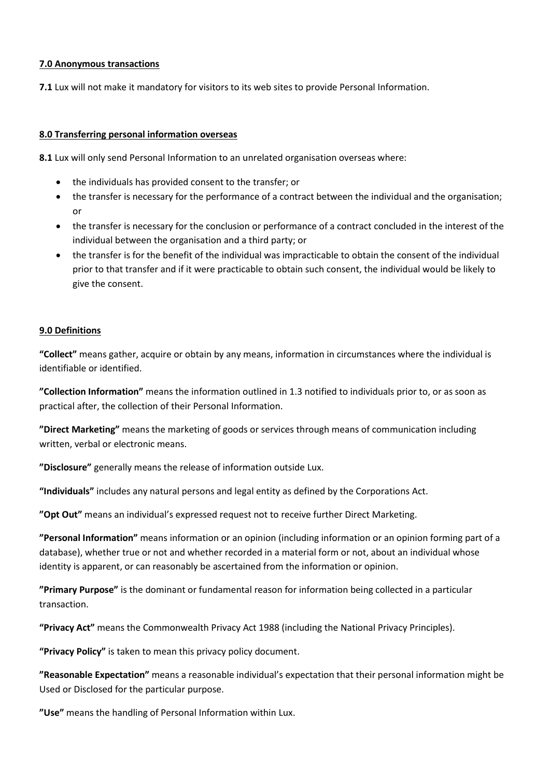## **7.0 Anonymous transactions**

**7.1** Lux will not make it mandatory for visitors to its web sites to provide Personal Information.

## **8.0 Transferring personal information overseas**

**8.1** Lux will only send Personal Information to an unrelated organisation overseas where:

- the individuals has provided consent to the transfer; or
- the transfer is necessary for the performance of a contract between the individual and the organisation; or
- the transfer is necessary for the conclusion or performance of a contract concluded in the interest of the individual between the organisation and a third party; or
- the transfer is for the benefit of the individual was impracticable to obtain the consent of the individual prior to that transfer and if it were practicable to obtain such consent, the individual would be likely to give the consent.

# **9.0 Definitions**

**"Collect"** means gather, acquire or obtain by any means, information in circumstances where the individual is identifiable or identified.

**"Collection Information"** means the information outlined in 1.3 notified to individuals prior to, or as soon as practical after, the collection of their Personal Information.

**"Direct Marketing"** means the marketing of goods or services through means of communication including written, verbal or electronic means.

**"Disclosure"** generally means the release of information outside Lux.

**"Individuals"** includes any natural persons and legal entity as defined by the Corporations Act.

**"Opt Out"** means an individual's expressed request not to receive further Direct Marketing.

**"Personal Information"** means information or an opinion (including information or an opinion forming part of a database), whether true or not and whether recorded in a material form or not, about an individual whose identity is apparent, or can reasonably be ascertained from the information or opinion.

**"Primary Purpose"** is the dominant or fundamental reason for information being collected in a particular transaction.

**"Privacy Act"** means the Commonwealth Privacy Act 1988 (including the National Privacy Principles).

**"Privacy Policy"** is taken to mean this privacy policy document.

**"Reasonable Expectation"** means a reasonable individual's expectation that their personal information might be Used or Disclosed for the particular purpose.

**"Use"** means the handling of Personal Information within Lux.